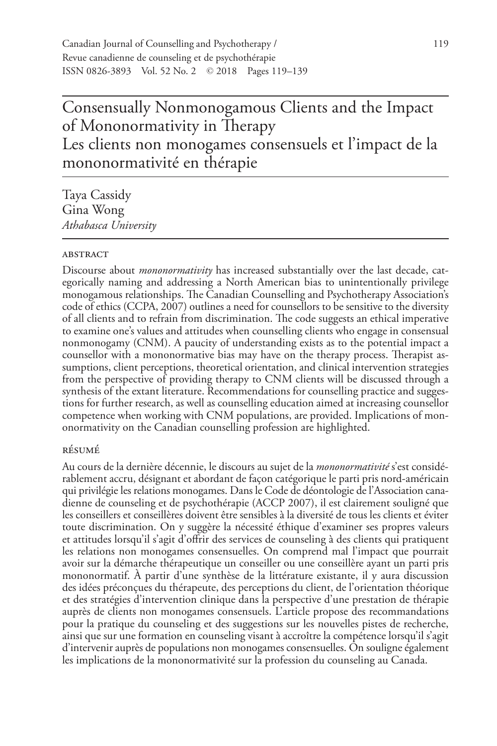# Consensually Nonmonogamous Clients and the Impact of Mononormativity in Therapy Les clients non monogames consensuels et l'impact de la mononormativité en thérapie

Taya Cassidy Gina Wong *Athabasca University*

#### **ABSTRACT**

Discourse about *mononormativity* has increased substantially over the last decade, categorically naming and addressing a North American bias to unintentionally privilege monogamous relationships. The Canadian Counselling and Psychotherapy Association's code of ethics (CCPA, 2007) outlines a need for counsellors to be sensitive to the diversity of all clients and to refrain from discrimination. The code suggests an ethical imperative to examine one's values and attitudes when counselling clients who engage in consensual nonmonogamy (CNM). A paucity of understanding exists as to the potential impact a counsellor with a mononormative bias may have on the therapy process. Therapist assumptions, client perceptions, theoretical orientation, and clinical intervention strategies from the perspective of providing therapy to CNM clients will be discussed through a synthesis of the extant literature. Recommendations for counselling practice and suggestions for further research, as well as counselling education aimed at increasing counsellor competence when working with CNM populations, are provided. Implications of mononormativity on the Canadian counselling profession are highlighted.

#### résumé

Au cours de la dernière décennie, le discours au sujet de la *mononormativité* s'est considérablement accru, désignant et abordant de façon catégorique le parti pris nord-américain qui privilégie les relations monogames. Dans le Code de déontologie de l'Association canadienne de counseling et de psychothérapie (ACCP 2007), il est clairement souligné que les conseillers et conseillères doivent être sensibles à la diversité de tous les clients et éviter toute discrimination. On y suggère la nécessité éthique d'examiner ses propres valeurs et attitudes lorsqu'il s'agit d'offrir des services de counseling à des clients qui pratiquent les relations non monogames consensuelles. On comprend mal l'impact que pourrait avoir sur la démarche thérapeutique un conseiller ou une conseillère ayant un parti pris mononormatif. À partir d'une synthèse de la littérature existante, il y aura discussion des idées préconçues du thérapeute, des perceptions du client, de l'orientation théorique et des stratégies d'intervention clinique dans la perspective d'une prestation de thérapie auprès de clients non monogames consensuels. L'article propose des recommandations pour la pratique du counseling et des suggestions sur les nouvelles pistes de recherche, ainsi que sur une formation en counseling visant à accroître la compétence lorsqu'il s'agit d'intervenir auprès de populations non monogames consensuelles. On souligne également les implications de la mononormativité sur la profession du counseling au Canada.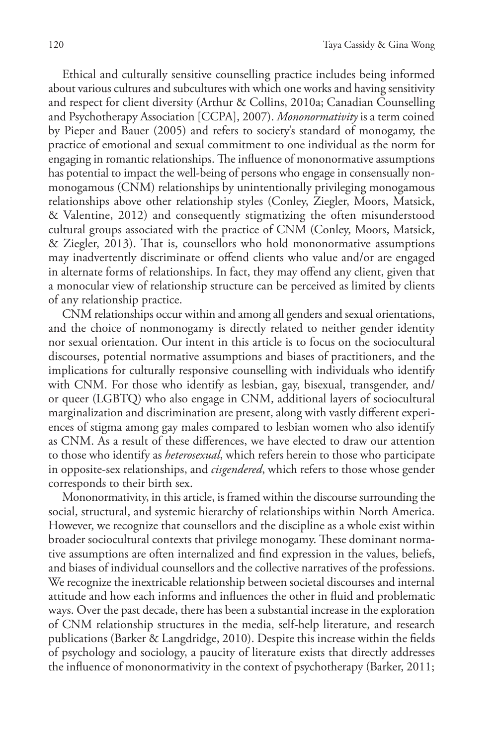Ethical and culturally sensitive counselling practice includes being informed about various cultures and subcultures with which one works and having sensitivity and respect for client diversity (Arthur & Collins, 2010a; Canadian Counselling and Psychotherapy Association [CCPA], 2007). *Mononormativity* is a term coined by Pieper and Bauer (2005) and refers to society's standard of monogamy, the practice of emotional and sexual commitment to one individual as the norm for engaging in romantic relationships. The influence of mononormative assumptions has potential to impact the well-being of persons who engage in consensually nonmonogamous (CNM) relationships by unintentionally privileging monogamous relationships above other relationship styles (Conley, Ziegler, Moors, Matsick, & Valentine, 2012) and consequently stigmatizing the often misunderstood cultural groups associated with the practice of CNM (Conley, Moors, Matsick, & Ziegler, 2013). That is, counsellors who hold mononormative assumptions may inadvertently discriminate or offend clients who value and/or are engaged in alternate forms of relationships. In fact, they may offend any client, given that a monocular view of relationship structure can be perceived as limited by clients of any relationship practice.

CNM relationships occur within and among all genders and sexual orientations, and the choice of nonmonogamy is directly related to neither gender identity nor sexual orientation. Our intent in this article is to focus on the sociocultural discourses, potential normative assumptions and biases of practitioners, and the implications for culturally responsive counselling with individuals who identify with CNM. For those who identify as lesbian, gay, bisexual, transgender, and/ or queer (LGBTQ) who also engage in CNM, additional layers of sociocultural marginalization and discrimination are present, along with vastly different experiences of stigma among gay males compared to lesbian women who also identify as CNM. As a result of these differences, we have elected to draw our attention to those who identify as *heterosexual*, which refers herein to those who participate in opposite-sex relationships, and *cisgendered*, which refers to those whose gender corresponds to their birth sex.

Mononormativity, in this article, is framed within the discourse surrounding the social, structural, and systemic hierarchy of relationships within North America. However, we recognize that counsellors and the discipline as a whole exist within broader sociocultural contexts that privilege monogamy. These dominant normative assumptions are often internalized and find expression in the values, beliefs, and biases of individual counsellors and the collective narratives of the professions. We recognize the inextricable relationship between societal discourses and internal attitude and how each informs and influences the other in fluid and problematic ways. Over the past decade, there has been a substantial increase in the exploration of CNM relationship structures in the media, self-help literature, and research publications (Barker & Langdridge, 2010). Despite this increase within the fields of psychology and sociology, a paucity of literature exists that directly addresses the influence of mononormativity in the context of psychotherapy (Barker, 2011;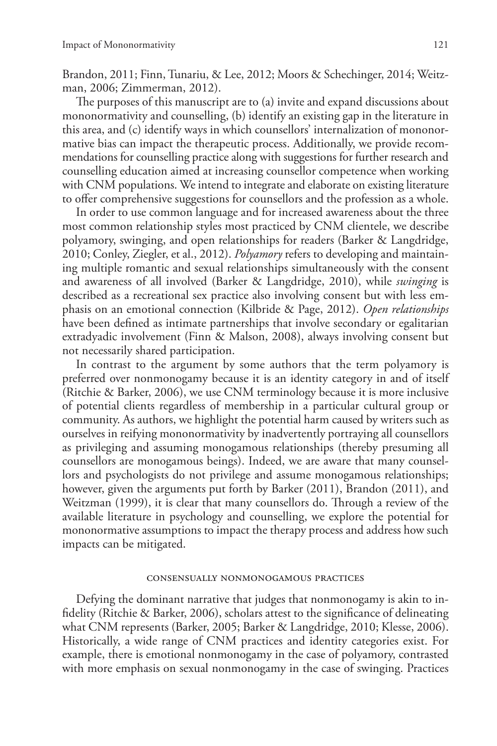Brandon, 2011; Finn, Tunariu, & Lee, 2012; Moors & Schechinger, 2014; Weitzman, 2006; Zimmerman, 2012).

The purposes of this manuscript are to (a) invite and expand discussions about mononormativity and counselling, (b) identify an existing gap in the literature in this area, and (c) identify ways in which counsellors' internalization of mononormative bias can impact the therapeutic process. Additionally, we provide recommendations for counselling practice along with suggestions for further research and counselling education aimed at increasing counsellor competence when working with CNM populations. We intend to integrate and elaborate on existing literature to offer comprehensive suggestions for counsellors and the profession as a whole.

In order to use common language and for increased awareness about the three most common relationship styles most practiced by CNM clientele, we describe polyamory, swinging, and open relationships for readers (Barker & Langdridge, 2010; Conley, Ziegler, et al., 2012). *Polyamory* refers to developing and maintaining multiple romantic and sexual relationships simultaneously with the consent and awareness of all involved (Barker & Langdridge, 2010), while *swinging* is described as a recreational sex practice also involving consent but with less emphasis on an emotional connection (Kilbride & Page, 2012). *Open relationships*  have been defined as intimate partnerships that involve secondary or egalitarian extradyadic involvement (Finn & Malson, 2008), always involving consent but not necessarily shared participation.

In contrast to the argument by some authors that the term polyamory is preferred over nonmonogamy because it is an identity category in and of itself (Ritchie & Barker, 2006), we use CNM terminology because it is more inclusive of potential clients regardless of membership in a particular cultural group or community. As authors, we highlight the potential harm caused by writers such as ourselves in reifying mononormativity by inadvertently portraying all counsellors as privileging and assuming monogamous relationships (thereby presuming all counsellors are monogamous beings). Indeed, we are aware that many counsellors and psychologists do not privilege and assume monogamous relationships; however, given the arguments put forth by Barker (2011), Brandon (2011), and Weitzman (1999), it is clear that many counsellors do. Through a review of the available literature in psychology and counselling, we explore the potential for mononormative assumptions to impact the therapy process and address how such impacts can be mitigated.

#### consensually nonmonogamous practices

Defying the dominant narrative that judges that nonmonogamy is akin to infidelity (Ritchie & Barker, 2006), scholars attest to the significance of delineating what CNM represents (Barker, 2005; Barker & Langdridge, 2010; Klesse, 2006). Historically, a wide range of CNM practices and identity categories exist. For example, there is emotional nonmonogamy in the case of polyamory, contrasted with more emphasis on sexual nonmonogamy in the case of swinging. Practices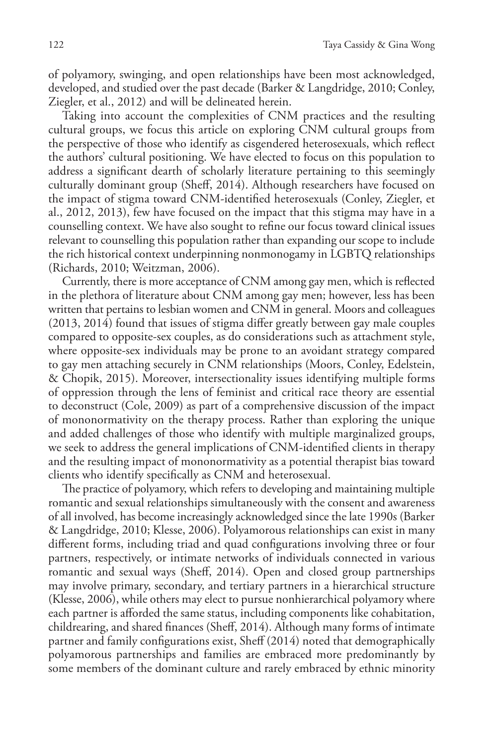of polyamory, swinging, and open relationships have been most acknowledged, developed, and studied over the past decade (Barker & Langdridge, 2010; Conley, Ziegler, et al., 2012) and will be delineated herein.

Taking into account the complexities of CNM practices and the resulting cultural groups, we focus this article on exploring CNM cultural groups from the perspective of those who identify as cisgendered heterosexuals, which reflect the authors' cultural positioning. We have elected to focus on this population to address a significant dearth of scholarly literature pertaining to this seemingly culturally dominant group (Sheff, 2014). Although researchers have focused on the impact of stigma toward CNM-identified heterosexuals (Conley, Ziegler, et al., 2012, 2013), few have focused on the impact that this stigma may have in a counselling context. We have also sought to refine our focus toward clinical issues relevant to counselling this population rather than expanding our scope to include the rich historical context underpinning nonmonogamy in LGBTQ relationships (Richards, 2010; Weitzman, 2006).

Currently, there is more acceptance of CNM among gay men, which is reflected in the plethora of literature about CNM among gay men; however, less has been written that pertains to lesbian women and CNM in general. Moors and colleagues (2013, 2014) found that issues of stigma differ greatly between gay male couples compared to opposite-sex couples, as do considerations such as attachment style, where opposite-sex individuals may be prone to an avoidant strategy compared to gay men attaching securely in CNM relationships (Moors, Conley, Edelstein, & Chopik, 2015). Moreover, intersectionality issues identifying multiple forms of oppression through the lens of feminist and critical race theory are essential to deconstruct (Cole, 2009) as part of a comprehensive discussion of the impact of mononormativity on the therapy process. Rather than exploring the unique and added challenges of those who identify with multiple marginalized groups, we seek to address the general implications of CNM-identified clients in therapy and the resulting impact of mononormativity as a potential therapist bias toward clients who identify specifically as CNM and heterosexual.

The practice of polyamory, which refers to developing and maintaining multiple romantic and sexual relationships simultaneously with the consent and awareness of all involved, has become increasingly acknowledged since the late 1990s (Barker & Langdridge, 2010; Klesse, 2006). Polyamorous relationships can exist in many different forms, including triad and quad configurations involving three or four partners, respectively, or intimate networks of individuals connected in various romantic and sexual ways (Sheff, 2014). Open and closed group partnerships may involve primary, secondary, and tertiary partners in a hierarchical structure (Klesse, 2006), while others may elect to pursue nonhierarchical polyamory where each partner is afforded the same status, including components like cohabitation, childrearing, and shared finances (Sheff, 2014). Although many forms of intimate partner and family configurations exist, Sheff (2014) noted that demographically polyamorous partnerships and families are embraced more predominantly by some members of the dominant culture and rarely embraced by ethnic minority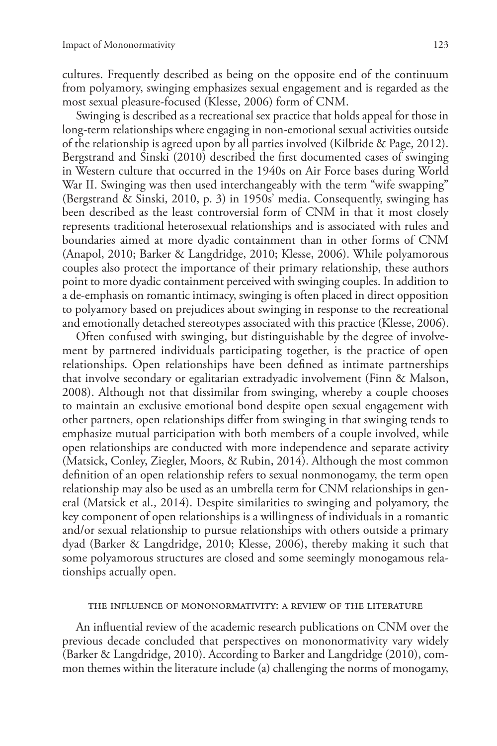cultures. Frequently described as being on the opposite end of the continuum from polyamory, swinging emphasizes sexual engagement and is regarded as the most sexual pleasure-focused (Klesse, 2006) form of CNM.

Swinging is described as a recreational sex practice that holds appeal for those in long-term relationships where engaging in non-emotional sexual activities outside of the relationship is agreed upon by all parties involved (Kilbride & Page, 2012). Bergstrand and Sinski (2010) described the first documented cases of swinging in Western culture that occurred in the 1940s on Air Force bases during World War II. Swinging was then used interchangeably with the term "wife swapping" (Bergstrand & Sinski, 2010, p. 3) in 1950s' media. Consequently, swinging has been described as the least controversial form of CNM in that it most closely represents traditional heterosexual relationships and is associated with rules and boundaries aimed at more dyadic containment than in other forms of CNM (Anapol, 2010; Barker & Langdridge, 2010; Klesse, 2006). While polyamorous couples also protect the importance of their primary relationship, these authors point to more dyadic containment perceived with swinging couples. In addition to a de-emphasis on romantic intimacy, swinging is often placed in direct opposition to polyamory based on prejudices about swinging in response to the recreational and emotionally detached stereotypes associated with this practice (Klesse, 2006).

Often confused with swinging, but distinguishable by the degree of involvement by partnered individuals participating together, is the practice of open relationships. Open relationships have been defined as intimate partnerships that involve secondary or egalitarian extradyadic involvement (Finn & Malson, 2008). Although not that dissimilar from swinging, whereby a couple chooses to maintain an exclusive emotional bond despite open sexual engagement with other partners, open relationships differ from swinging in that swinging tends to emphasize mutual participation with both members of a couple involved, while open relationships are conducted with more independence and separate activity (Matsick, Conley, Ziegler, Moors, & Rubin, 2014). Although the most common definition of an open relationship refers to sexual nonmonogamy, the term open relationship may also be used as an umbrella term for CNM relationships in general (Matsick et al., 2014). Despite similarities to swinging and polyamory, the key component of open relationships is a willingness of individuals in a romantic and/or sexual relationship to pursue relationships with others outside a primary dyad (Barker & Langdridge, 2010; Klesse, 2006), thereby making it such that some polyamorous structures are closed and some seemingly monogamous relationships actually open.

#### the influence of mononormativity: a review of the literature

An influential review of the academic research publications on CNM over the previous decade concluded that perspectives on mononormativity vary widely (Barker & Langdridge, 2010). According to Barker and Langdridge (2010), common themes within the literature include (a) challenging the norms of monogamy,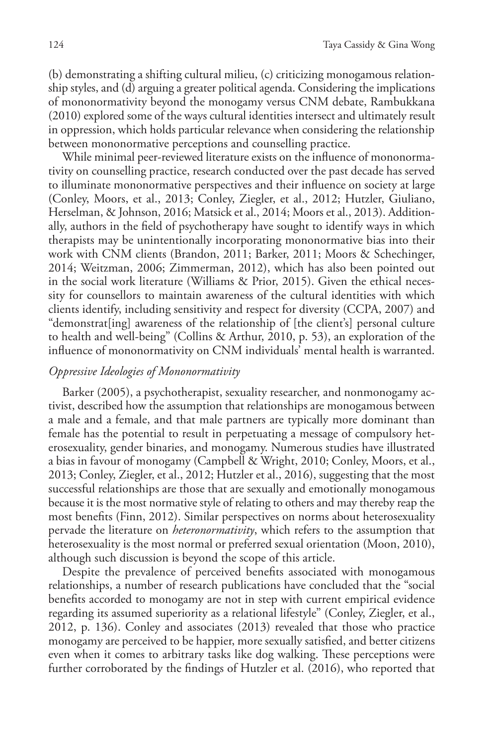(b) demonstrating a shifting cultural milieu, (c) criticizing monogamous relationship styles, and (d) arguing a greater political agenda. Considering the implications of mononormativity beyond the monogamy versus CNM debate, Rambukkana (2010) explored some of the ways cultural identities intersect and ultimately result in oppression, which holds particular relevance when considering the relationship between mononormative perceptions and counselling practice.

While minimal peer-reviewed literature exists on the influence of mononormativity on counselling practice, research conducted over the past decade has served to illuminate mononormative perspectives and their influence on society at large (Conley, Moors, et al., 2013; Conley, Ziegler, et al., 2012; Hutzler, Giuliano, Herselman, & Johnson, 2016; Matsick et al., 2014; Moors et al., 2013). Additionally, authors in the field of psychotherapy have sought to identify ways in which therapists may be unintentionally incorporating mononormative bias into their work with CNM clients (Brandon, 2011; Barker, 2011; Moors & Schechinger, 2014; Weitzman, 2006; Zimmerman, 2012), which has also been pointed out in the social work literature (Williams & Prior, 2015). Given the ethical necessity for counsellors to maintain awareness of the cultural identities with which clients identify, including sensitivity and respect for diversity (CCPA, 2007) and "demonstrat[ing] awareness of the relationship of [the client's] personal culture to health and well-being" (Collins & Arthur, 2010, p. 53), an exploration of the influence of mononormativity on CNM individuals' mental health is warranted.

#### *Oppressive Ideologies of Mononormativity*

Barker (2005), a psychotherapist, sexuality researcher, and nonmonogamy activist, described how the assumption that relationships are monogamous between a male and a female, and that male partners are typically more dominant than female has the potential to result in perpetuating a message of compulsory heterosexuality, gender binaries, and monogamy. Numerous studies have illustrated a bias in favour of monogamy (Campbell & Wright, 2010; Conley, Moors, et al., 2013; Conley, Ziegler, et al., 2012; Hutzler et al., 2016), suggesting that the most successful relationships are those that are sexually and emotionally monogamous because it is the most normative style of relating to others and may thereby reap the most benefits (Finn, 2012). Similar perspectives on norms about heterosexuality pervade the literature on *heteronormativity*, which refers to the assumption that heterosexuality is the most normal or preferred sexual orientation (Moon, 2010), although such discussion is beyond the scope of this article.

Despite the prevalence of perceived benefits associated with monogamous relationships, a number of research publications have concluded that the "social benefits accorded to monogamy are not in step with current empirical evidence regarding its assumed superiority as a relational lifestyle" (Conley, Ziegler, et al., 2012, p. 136). Conley and associates (2013) revealed that those who practice monogamy are perceived to be happier, more sexually satisfied, and better citizens even when it comes to arbitrary tasks like dog walking. These perceptions were further corroborated by the findings of Hutzler et al. (2016), who reported that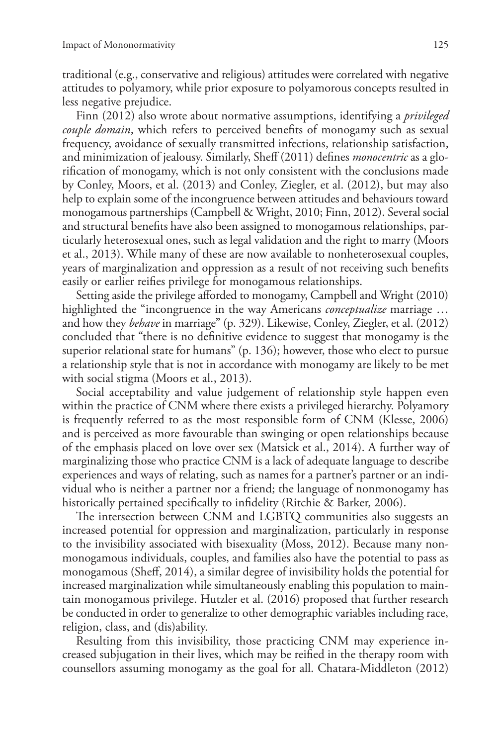traditional (e.g., conservative and religious) attitudes were correlated with negative attitudes to polyamory, while prior exposure to polyamorous concepts resulted in less negative prejudice.

Finn (2012) also wrote about normative assumptions, identifying a *privileged couple domain*, which refers to perceived benefits of monogamy such as sexual frequency, avoidance of sexually transmitted infections, relationship satisfaction, and minimization of jealousy. Similarly, Sheff (2011) defines *monocentric* as a glorification of monogamy, which is not only consistent with the conclusions made by Conley, Moors, et al. (2013) and Conley, Ziegler, et al. (2012), but may also help to explain some of the incongruence between attitudes and behaviours toward monogamous partnerships (Campbell & Wright, 2010; Finn, 2012). Several social and structural benefits have also been assigned to monogamous relationships, particularly heterosexual ones, such as legal validation and the right to marry (Moors et al., 2013). While many of these are now available to nonheterosexual couples, years of marginalization and oppression as a result of not receiving such benefits easily or earlier reifies privilege for monogamous relationships.

Setting aside the privilege afforded to monogamy, Campbell and Wright (2010) highlighted the "incongruence in the way Americans *conceptualize* marriage … and how they *behave* in marriage" (p. 329). Likewise, Conley, Ziegler, et al. (2012) concluded that "there is no definitive evidence to suggest that monogamy is the superior relational state for humans" (p. 136); however, those who elect to pursue a relationship style that is not in accordance with monogamy are likely to be met with social stigma (Moors et al., 2013).

Social acceptability and value judgement of relationship style happen even within the practice of CNM where there exists a privileged hierarchy. Polyamory is frequently referred to as the most responsible form of CNM (Klesse, 2006) and is perceived as more favourable than swinging or open relationships because of the emphasis placed on love over sex (Matsick et al., 2014). A further way of marginalizing those who practice CNM is a lack of adequate language to describe experiences and ways of relating, such as names for a partner's partner or an individual who is neither a partner nor a friend; the language of nonmonogamy has historically pertained specifically to infidelity (Ritchie & Barker, 2006).

The intersection between CNM and LGBTQ communities also suggests an increased potential for oppression and marginalization, particularly in response to the invisibility associated with bisexuality (Moss, 2012). Because many nonmonogamous individuals, couples, and families also have the potential to pass as monogamous (Sheff, 2014), a similar degree of invisibility holds the potential for increased marginalization while simultaneously enabling this population to maintain monogamous privilege. Hutzler et al. (2016) proposed that further research be conducted in order to generalize to other demographic variables including race, religion, class, and (dis)ability.

Resulting from this invisibility, those practicing CNM may experience increased subjugation in their lives, which may be reified in the therapy room with counsellors assuming monogamy as the goal for all. Chatara-Middleton (2012)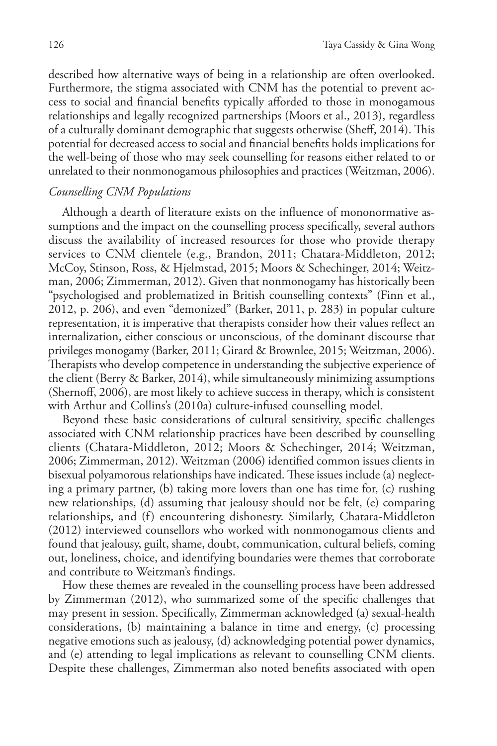described how alternative ways of being in a relationship are often overlooked. Furthermore, the stigma associated with CNM has the potential to prevent access to social and financial benefits typically afforded to those in monogamous relationships and legally recognized partnerships (Moors et al., 2013), regardless of a culturally dominant demographic that suggests otherwise (Sheff, 2014). This potential for decreased access to social and financial benefits holds implications for the well-being of those who may seek counselling for reasons either related to or unrelated to their nonmonogamous philosophies and practices (Weitzman, 2006).

## *Counselling CNM Populations*

Although a dearth of literature exists on the influence of mononormative assumptions and the impact on the counselling process specifically, several authors discuss the availability of increased resources for those who provide therapy services to CNM clientele (e.g., Brandon, 2011; Chatara-Middleton, 2012; McCoy, Stinson, Ross, & Hjelmstad, 2015; Moors & Schechinger, 2014; Weitzman, 2006; Zimmerman, 2012). Given that nonmonogamy has historically been "psychologised and problematized in British counselling contexts" (Finn et al., 2012, p. 206), and even "demonized" (Barker, 2011, p. 283) in popular culture representation, it is imperative that therapists consider how their values reflect an internalization, either conscious or unconscious, of the dominant discourse that privileges monogamy (Barker, 2011; Girard & Brownlee, 2015; Weitzman, 2006). Therapists who develop competence in understanding the subjective experience of the client (Berry & Barker, 2014), while simultaneously minimizing assumptions (Shernoff, 2006), are most likely to achieve success in therapy, which is consistent with Arthur and Collins's (2010a) culture-infused counselling model.

Beyond these basic considerations of cultural sensitivity, specific challenges associated with CNM relationship practices have been described by counselling clients (Chatara-Middleton, 2012; Moors & Schechinger, 2014; Weitzman, 2006; Zimmerman, 2012). Weitzman (2006) identified common issues clients in bisexual polyamorous relationships have indicated. These issues include (a) neglecting a primary partner, (b) taking more lovers than one has time for, (c) rushing new relationships, (d) assuming that jealousy should not be felt, (e) comparing relationships, and (f) encountering dishonesty. Similarly, Chatara-Middleton (2012) interviewed counsellors who worked with nonmonogamous clients and found that jealousy, guilt, shame, doubt, communication, cultural beliefs, coming out, loneliness, choice, and identifying boundaries were themes that corroborate and contribute to Weitzman's findings.

How these themes are revealed in the counselling process have been addressed by Zimmerman (2012), who summarized some of the specific challenges that may present in session. Specifically, Zimmerman acknowledged (a) sexual-health considerations, (b) maintaining a balance in time and energy, (c) processing negative emotions such as jealousy, (d) acknowledging potential power dynamics, and (e) attending to legal implications as relevant to counselling CNM clients. Despite these challenges, Zimmerman also noted benefits associated with open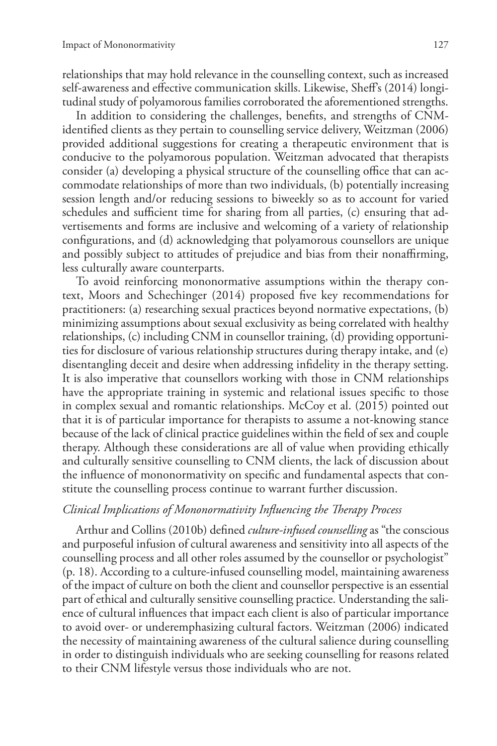relationships that may hold relevance in the counselling context, such as increased self-awareness and effective communication skills. Likewise, Sheff's (2014) longitudinal study of polyamorous families corroborated the aforementioned strengths.

In addition to considering the challenges, benefits, and strengths of CNMidentified clients as they pertain to counselling service delivery, Weitzman (2006) provided additional suggestions for creating a therapeutic environment that is conducive to the polyamorous population. Weitzman advocated that therapists consider (a) developing a physical structure of the counselling office that can accommodate relationships of more than two individuals, (b) potentially increasing session length and/or reducing sessions to biweekly so as to account for varied schedules and sufficient time for sharing from all parties, (c) ensuring that advertisements and forms are inclusive and welcoming of a variety of relationship configurations, and (d) acknowledging that polyamorous counsellors are unique and possibly subject to attitudes of prejudice and bias from their nonaffirming, less culturally aware counterparts.

To avoid reinforcing mononormative assumptions within the therapy context, Moors and Schechinger (2014) proposed five key recommendations for practitioners: (a) researching sexual practices beyond normative expectations, (b) minimizing assumptions about sexual exclusivity as being correlated with healthy relationships, (c) including CNM in counsellor training, (d) providing opportunities for disclosure of various relationship structures during therapy intake, and (e) disentangling deceit and desire when addressing infidelity in the therapy setting. It is also imperative that counsellors working with those in CNM relationships have the appropriate training in systemic and relational issues specific to those in complex sexual and romantic relationships. McCoy et al. (2015) pointed out that it is of particular importance for therapists to assume a not-knowing stance because of the lack of clinical practice guidelines within the field of sex and couple therapy. Although these considerations are all of value when providing ethically and culturally sensitive counselling to CNM clients, the lack of discussion about the influence of mononormativity on specific and fundamental aspects that constitute the counselling process continue to warrant further discussion.

## *Clinical Implications of Mononormativity Influencing the Therapy Process*

Arthur and Collins (2010b) defined *culture-infused counselling* as "the conscious and purposeful infusion of cultural awareness and sensitivity into all aspects of the counselling process and all other roles assumed by the counsellor or psychologist" (p. 18). According to a culture-infused counselling model, maintaining awareness of the impact of culture on both the client and counsellor perspective is an essential part of ethical and culturally sensitive counselling practice. Understanding the salience of cultural influences that impact each client is also of particular importance to avoid over- or underemphasizing cultural factors. Weitzman (2006) indicated the necessity of maintaining awareness of the cultural salience during counselling in order to distinguish individuals who are seeking counselling for reasons related to their CNM lifestyle versus those individuals who are not.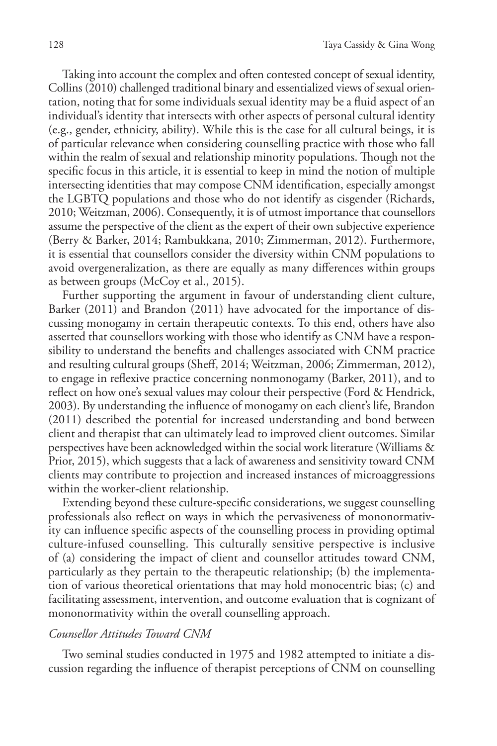Taking into account the complex and often contested concept of sexual identity, Collins (2010) challenged traditional binary and essentialized views of sexual orientation, noting that for some individuals sexual identity may be a fluid aspect of an individual's identity that intersects with other aspects of personal cultural identity (e.g., gender, ethnicity, ability). While this is the case for all cultural beings, it is of particular relevance when considering counselling practice with those who fall within the realm of sexual and relationship minority populations. Though not the specific focus in this article, it is essential to keep in mind the notion of multiple intersecting identities that may compose CNM identification, especially amongst the LGBTQ populations and those who do not identify as cisgender (Richards, 2010; Weitzman, 2006). Consequently, it is of utmost importance that counsellors assume the perspective of the client as the expert of their own subjective experience (Berry & Barker, 2014; Rambukkana, 2010; Zimmerman, 2012). Furthermore, it is essential that counsellors consider the diversity within CNM populations to avoid overgeneralization, as there are equally as many differences within groups as between groups (McCoy et al., 2015).

Further supporting the argument in favour of understanding client culture, Barker (2011) and Brandon (2011) have advocated for the importance of discussing monogamy in certain therapeutic contexts. To this end, others have also asserted that counsellors working with those who identify as CNM have a responsibility to understand the benefits and challenges associated with CNM practice and resulting cultural groups (Sheff, 2014; Weitzman, 2006; Zimmerman, 2012), to engage in reflexive practice concerning nonmonogamy (Barker, 2011), and to reflect on how one's sexual values may colour their perspective (Ford & Hendrick, 2003). By understanding the influence of monogamy on each client's life, Brandon (2011) described the potential for increased understanding and bond between client and therapist that can ultimately lead to improved client outcomes. Similar perspectives have been acknowledged within the social work literature (Williams & Prior, 2015), which suggests that a lack of awareness and sensitivity toward CNM clients may contribute to projection and increased instances of microaggressions within the worker-client relationship.

Extending beyond these culture-specific considerations, we suggest counselling professionals also reflect on ways in which the pervasiveness of mononormativity can influence specific aspects of the counselling process in providing optimal culture-infused counselling. This culturally sensitive perspective is inclusive of (a) considering the impact of client and counsellor attitudes toward CNM, particularly as they pertain to the therapeutic relationship; (b) the implementation of various theoretical orientations that may hold monocentric bias; (c) and facilitating assessment, intervention, and outcome evaluation that is cognizant of mononormativity within the overall counselling approach.

## *Counsellor Attitudes Toward CNM*

Two seminal studies conducted in 1975 and 1982 attempted to initiate a discussion regarding the influence of therapist perceptions of CNM on counselling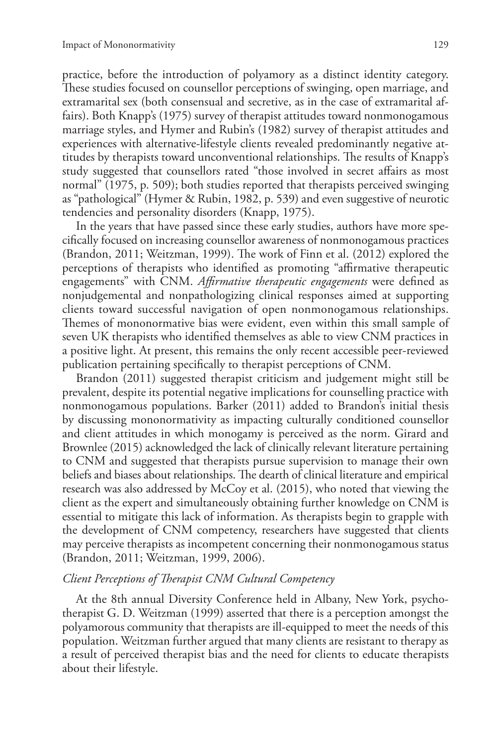practice, before the introduction of polyamory as a distinct identity category. These studies focused on counsellor perceptions of swinging, open marriage, and extramarital sex (both consensual and secretive, as in the case of extramarital affairs). Both Knapp's (1975) survey of therapist attitudes toward nonmonogamous marriage styles, and Hymer and Rubin's (1982) survey of therapist attitudes and experiences with alternative-lifestyle clients revealed predominantly negative attitudes by therapists toward unconventional relationships. The results of Knapp's study suggested that counsellors rated "those involved in secret affairs as most normal" (1975, p. 509); both studies reported that therapists perceived swinging as "pathological" (Hymer & Rubin, 1982, p. 539) and even suggestive of neurotic tendencies and personality disorders (Knapp, 1975).

In the years that have passed since these early studies, authors have more specifically focused on increasing counsellor awareness of nonmonogamous practices (Brandon, 2011; Weitzman, 1999). The work of Finn et al. (2012) explored the perceptions of therapists who identified as promoting "affirmative therapeutic engagements" with CNM. *Affirmative therapeutic engagements* were defined as nonjudgemental and nonpathologizing clinical responses aimed at supporting clients toward successful navigation of open nonmonogamous relationships. Themes of mononormative bias were evident, even within this small sample of seven UK therapists who identified themselves as able to view CNM practices in a positive light. At present, this remains the only recent accessible peer-reviewed publication pertaining specifically to therapist perceptions of CNM.

Brandon (2011) suggested therapist criticism and judgement might still be prevalent, despite its potential negative implications for counselling practice with nonmonogamous populations. Barker (2011) added to Brandon's initial thesis by discussing mononormativity as impacting culturally conditioned counsellor and client attitudes in which monogamy is perceived as the norm. Girard and Brownlee (2015) acknowledged the lack of clinically relevant literature pertaining to CNM and suggested that therapists pursue supervision to manage their own beliefs and biases about relationships. The dearth of clinical literature and empirical research was also addressed by McCoy et al. (2015), who noted that viewing the client as the expert and simultaneously obtaining further knowledge on CNM is essential to mitigate this lack of information. As therapists begin to grapple with the development of CNM competency, researchers have suggested that clients may perceive therapists as incompetent concerning their nonmonogamous status (Brandon, 2011; Weitzman, 1999, 2006).

## *Client Perceptions of Therapist CNM Cultural Competency*

At the 8th annual Diversity Conference held in Albany, New York, psychotherapist G. D. Weitzman (1999) asserted that there is a perception amongst the polyamorous community that therapists are ill-equipped to meet the needs of this population. Weitzman further argued that many clients are resistant to therapy as a result of perceived therapist bias and the need for clients to educate therapists about their lifestyle.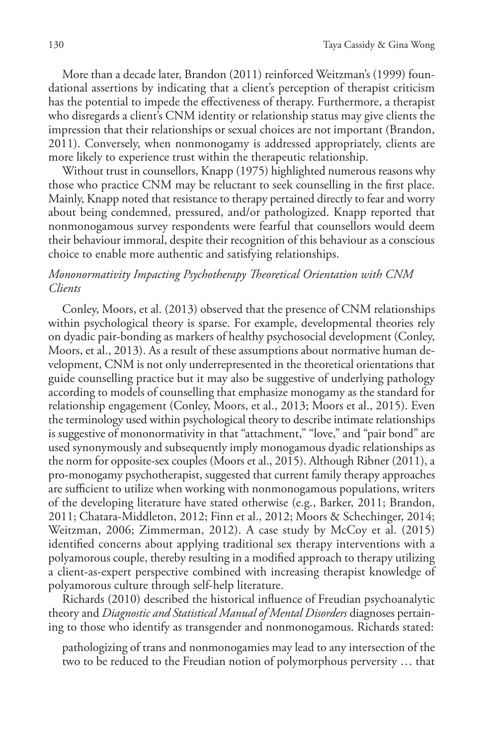More than a decade later, Brandon (2011) reinforced Weitzman's (1999) foundational assertions by indicating that a client's perception of therapist criticism has the potential to impede the effectiveness of therapy. Furthermore, a therapist who disregards a client's CNM identity or relationship status may give clients the impression that their relationships or sexual choices are not important (Brandon, 2011). Conversely, when nonmonogamy is addressed appropriately, clients are more likely to experience trust within the therapeutic relationship.

Without trust in counsellors, Knapp (1975) highlighted numerous reasons why those who practice CNM may be reluctant to seek counselling in the first place. Mainly, Knapp noted that resistance to therapy pertained directly to fear and worry about being condemned, pressured, and/or pathologized. Knapp reported that nonmonogamous survey respondents were fearful that counsellors would deem their behaviour immoral, despite their recognition of this behaviour as a conscious choice to enable more authentic and satisfying relationships.

# *Mononormativity Impacting Psychotherapy Theoretical Orientation with CNM Clients*

Conley, Moors, et al. (2013) observed that the presence of CNM relationships within psychological theory is sparse. For example, developmental theories rely on dyadic pair-bonding as markers of healthy psychosocial development (Conley, Moors, et al., 2013). As a result of these assumptions about normative human development, CNM is not only underrepresented in the theoretical orientations that guide counselling practice but it may also be suggestive of underlying pathology according to models of counselling that emphasize monogamy as the standard for relationship engagement (Conley, Moors, et al., 2013; Moors et al., 2015). Even the terminology used within psychological theory to describe intimate relationships is suggestive of mononormativity in that "attachment," "love," and "pair bond" are used synonymously and subsequently imply monogamous dyadic relationships as the norm for opposite-sex couples (Moors et al., 2015). Although Ribner (2011), a pro-monogamy psychotherapist, suggested that current family therapy approaches are sufficient to utilize when working with nonmonogamous populations, writers of the developing literature have stated otherwise (e.g., Barker, 2011; Brandon, 2011; Chatara-Middleton, 2012; Finn et al., 2012; Moors & Schechinger, 2014; Weitzman, 2006; Zimmerman, 2012). A case study by McCoy et al. (2015) identified concerns about applying traditional sex therapy interventions with a polyamorous couple, thereby resulting in a modified approach to therapy utilizing a client-as-expert perspective combined with increasing therapist knowledge of polyamorous culture through self-help literature.

Richards (2010) described the historical influence of Freudian psychoanalytic theory and *Diagnostic and Statistical Manual of Mental Disorders* diagnoses pertaining to those who identify as transgender and nonmonogamous. Richards stated:

pathologizing of trans and nonmonogamies may lead to any intersection of the two to be reduced to the Freudian notion of polymorphous perversity … that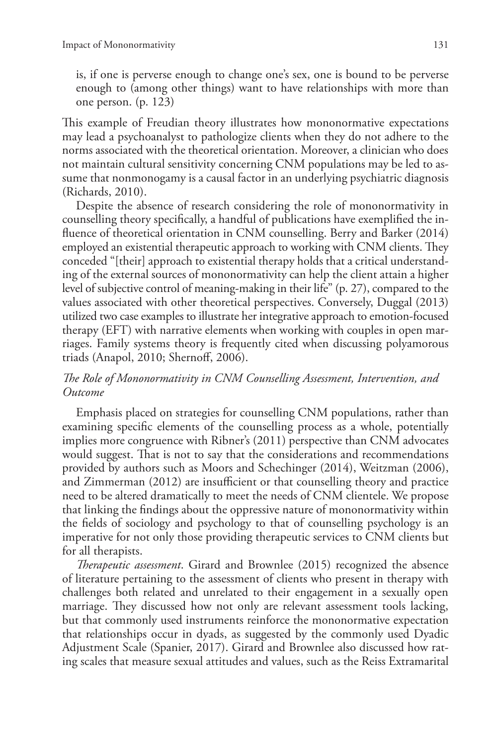is, if one is perverse enough to change one's sex, one is bound to be perverse enough to (among other things) want to have relationships with more than one person. (p. 123)

This example of Freudian theory illustrates how mononormative expectations may lead a psychoanalyst to pathologize clients when they do not adhere to the norms associated with the theoretical orientation. Moreover, a clinician who does not maintain cultural sensitivity concerning CNM populations may be led to assume that nonmonogamy is a causal factor in an underlying psychiatric diagnosis (Richards, 2010).

Despite the absence of research considering the role of mononormativity in counselling theory specifically, a handful of publications have exemplified the influence of theoretical orientation in CNM counselling. Berry and Barker (2014) employed an existential therapeutic approach to working with CNM clients. They conceded "[their] approach to existential therapy holds that a critical understanding of the external sources of mononormativity can help the client attain a higher level of subjective control of meaning-making in their life" (p. 27), compared to the values associated with other theoretical perspectives. Conversely, Duggal (2013) utilized two case examples to illustrate her integrative approach to emotion-focused therapy (EFT) with narrative elements when working with couples in open marriages. Family systems theory is frequently cited when discussing polyamorous triads (Anapol, 2010; Shernoff, 2006).

# *The Role of Mononormativity in CNM Counselling Assessment, Intervention, and Outcome*

Emphasis placed on strategies for counselling CNM populations, rather than examining specific elements of the counselling process as a whole, potentially implies more congruence with Ribner's (2011) perspective than CNM advocates would suggest. That is not to say that the considerations and recommendations provided by authors such as Moors and Schechinger (2014), Weitzman (2006), and Zimmerman (2012) are insufficient or that counselling theory and practice need to be altered dramatically to meet the needs of CNM clientele. We propose that linking the findings about the oppressive nature of mononormativity within the fields of sociology and psychology to that of counselling psychology is an imperative for not only those providing therapeutic services to CNM clients but for all therapists.

*Therapeutic assessment*. Girard and Brownlee (2015) recognized the absence of literature pertaining to the assessment of clients who present in therapy with challenges both related and unrelated to their engagement in a sexually open marriage. They discussed how not only are relevant assessment tools lacking, but that commonly used instruments reinforce the mononormative expectation that relationships occur in dyads, as suggested by the commonly used Dyadic Adjustment Scale (Spanier, 2017). Girard and Brownlee also discussed how rating scales that measure sexual attitudes and values, such as the Reiss Extramarital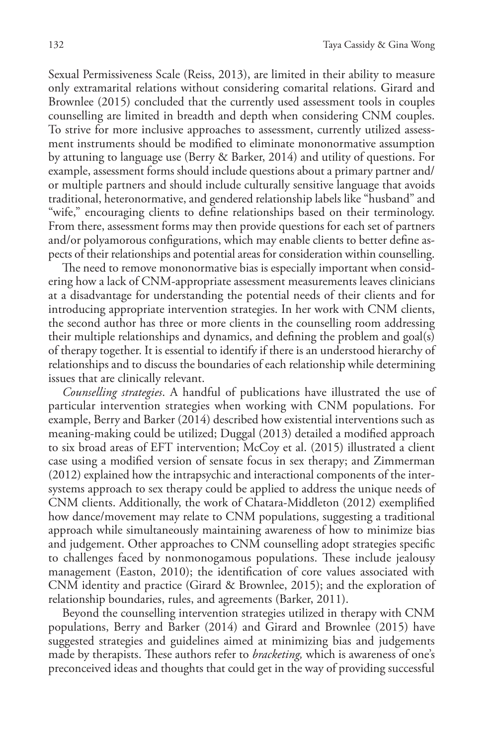Sexual Permissiveness Scale (Reiss, 2013), are limited in their ability to measure only extramarital relations without considering comarital relations. Girard and Brownlee (2015) concluded that the currently used assessment tools in couples counselling are limited in breadth and depth when considering CNM couples. To strive for more inclusive approaches to assessment, currently utilized assessment instruments should be modified to eliminate mononormative assumption by attuning to language use (Berry & Barker, 2014) and utility of questions. For example, assessment forms should include questions about a primary partner and/ or multiple partners and should include culturally sensitive language that avoids traditional, heteronormative, and gendered relationship labels like "husband" and "wife," encouraging clients to define relationships based on their terminology. From there, assessment forms may then provide questions for each set of partners and/or polyamorous configurations, which may enable clients to better define aspects of their relationships and potential areas for consideration within counselling.

The need to remove mononormative bias is especially important when considering how a lack of CNM-appropriate assessment measurements leaves clinicians at a disadvantage for understanding the potential needs of their clients and for introducing appropriate intervention strategies. In her work with CNM clients, the second author has three or more clients in the counselling room addressing their multiple relationships and dynamics, and defining the problem and goal(s) of therapy together. It is essential to identify if there is an understood hierarchy of relationships and to discuss the boundaries of each relationship while determining issues that are clinically relevant.

*Counselling strategies*. A handful of publications have illustrated the use of particular intervention strategies when working with CNM populations. For example, Berry and Barker (2014) described how existential interventions such as meaning-making could be utilized; Duggal (2013) detailed a modified approach to six broad areas of EFT intervention; McCoy et al. (2015) illustrated a client case using a modified version of sensate focus in sex therapy; and Zimmerman (2012) explained how the intrapsychic and interactional components of the intersystems approach to sex therapy could be applied to address the unique needs of CNM clients. Additionally, the work of Chatara-Middleton (2012) exemplified how dance/movement may relate to CNM populations, suggesting a traditional approach while simultaneously maintaining awareness of how to minimize bias and judgement. Other approaches to CNM counselling adopt strategies specific to challenges faced by nonmonogamous populations. These include jealousy management (Easton, 2010); the identification of core values associated with CNM identity and practice (Girard & Brownlee, 2015); and the exploration of relationship boundaries, rules, and agreements (Barker, 2011).

Beyond the counselling intervention strategies utilized in therapy with CNM populations, Berry and Barker (2014) and Girard and Brownlee (2015) have suggested strategies and guidelines aimed at minimizing bias and judgements made by therapists. These authors refer to *bracketing,* which is awareness of one's preconceived ideas and thoughts that could get in the way of providing successful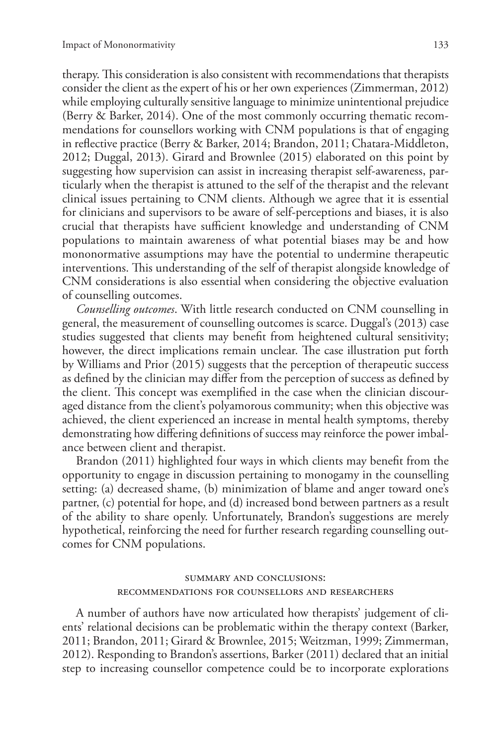therapy. This consideration is also consistent with recommendations that therapists consider the client as the expert of his or her own experiences (Zimmerman, 2012) while employing culturally sensitive language to minimize unintentional prejudice (Berry & Barker, 2014). One of the most commonly occurring thematic recommendations for counsellors working with CNM populations is that of engaging in reflective practice (Berry & Barker, 2014; Brandon, 2011; Chatara-Middleton, 2012; Duggal, 2013). Girard and Brownlee (2015) elaborated on this point by suggesting how supervision can assist in increasing therapist self-awareness, particularly when the therapist is attuned to the self of the therapist and the relevant clinical issues pertaining to CNM clients. Although we agree that it is essential for clinicians and supervisors to be aware of self-perceptions and biases, it is also crucial that therapists have sufficient knowledge and understanding of CNM populations to maintain awareness of what potential biases may be and how mononormative assumptions may have the potential to undermine therapeutic interventions. This understanding of the self of therapist alongside knowledge of CNM considerations is also essential when considering the objective evaluation of counselling outcomes.

*Counselling outcomes*. With little research conducted on CNM counselling in general, the measurement of counselling outcomes is scarce. Duggal's (2013) case studies suggested that clients may benefit from heightened cultural sensitivity; however, the direct implications remain unclear. The case illustration put forth by Williams and Prior (2015) suggests that the perception of therapeutic success as defined by the clinician may differ from the perception of success as defined by the client. This concept was exemplified in the case when the clinician discouraged distance from the client's polyamorous community; when this objective was achieved, the client experienced an increase in mental health symptoms, thereby demonstrating how differing definitions of success may reinforce the power imbalance between client and therapist.

Brandon (2011) highlighted four ways in which clients may benefit from the opportunity to engage in discussion pertaining to monogamy in the counselling setting: (a) decreased shame, (b) minimization of blame and anger toward one's partner, (c) potential for hope, and (d) increased bond between partners as a result of the ability to share openly. Unfortunately, Brandon's suggestions are merely hypothetical, reinforcing the need for further research regarding counselling outcomes for CNM populations.

## summary and conclusions: recommendations for counsellors and researchers

A number of authors have now articulated how therapists' judgement of clients' relational decisions can be problematic within the therapy context (Barker, 2011; Brandon, 2011; Girard & Brownlee, 2015; Weitzman, 1999; Zimmerman, 2012). Responding to Brandon's assertions, Barker (2011) declared that an initial step to increasing counsellor competence could be to incorporate explorations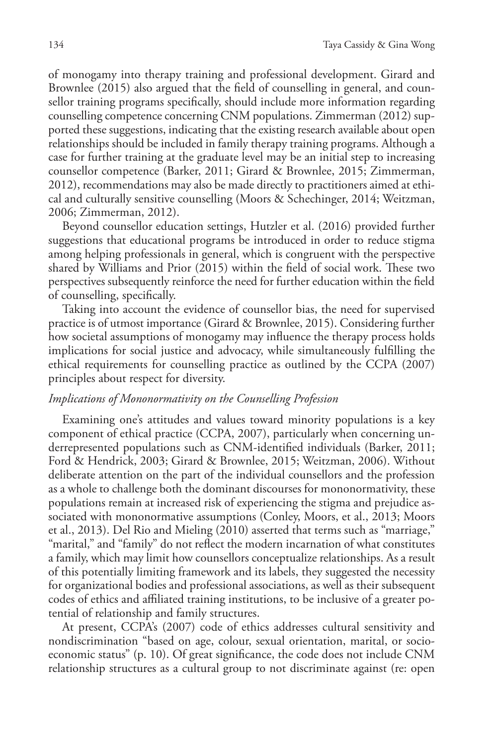of monogamy into therapy training and professional development. Girard and Brownlee (2015) also argued that the field of counselling in general, and counsellor training programs specifically, should include more information regarding counselling competence concerning CNM populations. Zimmerman (2012) supported these suggestions, indicating that the existing research available about open relationships should be included in family therapy training programs. Although a case for further training at the graduate level may be an initial step to increasing counsellor competence (Barker, 2011; Girard & Brownlee, 2015; Zimmerman, 2012), recommendations may also be made directly to practitioners aimed at ethical and culturally sensitive counselling (Moors & Schechinger, 2014; Weitzman, 2006; Zimmerman, 2012).

Beyond counsellor education settings, Hutzler et al. (2016) provided further suggestions that educational programs be introduced in order to reduce stigma among helping professionals in general, which is congruent with the perspective shared by Williams and Prior (2015) within the field of social work. These two perspectives subsequently reinforce the need for further education within the field of counselling, specifically.

Taking into account the evidence of counsellor bias, the need for supervised practice is of utmost importance (Girard & Brownlee, 2015). Considering further how societal assumptions of monogamy may influence the therapy process holds implications for social justice and advocacy, while simultaneously fulfilling the ethical requirements for counselling practice as outlined by the CCPA (2007) principles about respect for diversity.

#### *Implications of Mononormativity on the Counselling Profession*

Examining one's attitudes and values toward minority populations is a key component of ethical practice (CCPA, 2007), particularly when concerning underrepresented populations such as CNM-identified individuals (Barker, 2011; Ford & Hendrick, 2003; Girard & Brownlee, 2015; Weitzman, 2006). Without deliberate attention on the part of the individual counsellors and the profession as a whole to challenge both the dominant discourses for mononormativity, these populations remain at increased risk of experiencing the stigma and prejudice associated with mononormative assumptions (Conley, Moors, et al., 2013; Moors et al., 2013). Del Rio and Mieling (2010) asserted that terms such as "marriage," "marital," and "family" do not reflect the modern incarnation of what constitutes a family, which may limit how counsellors conceptualize relationships. As a result of this potentially limiting framework and its labels, they suggested the necessity for organizational bodies and professional associations, as well as their subsequent codes of ethics and affiliated training institutions, to be inclusive of a greater potential of relationship and family structures.

At present, CCPA's (2007) code of ethics addresses cultural sensitivity and nondiscrimination "based on age, colour, sexual orientation, marital, or socioeconomic status" (p. 10). Of great significance, the code does not include CNM relationship structures as a cultural group to not discriminate against (re: open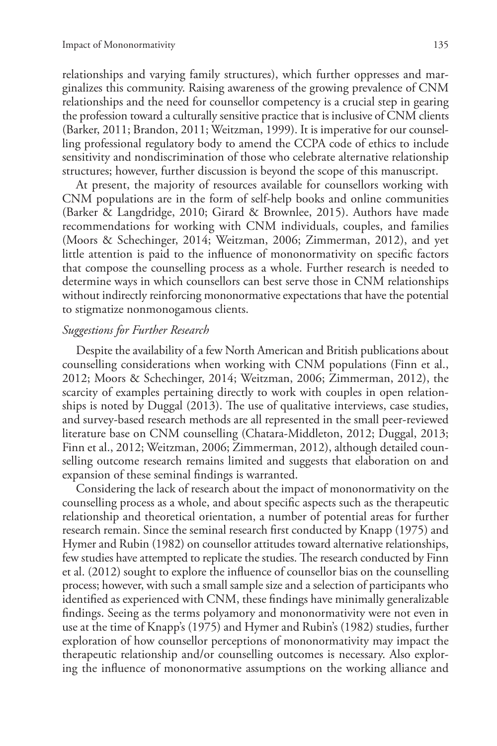relationships and varying family structures), which further oppresses and marginalizes this community. Raising awareness of the growing prevalence of CNM relationships and the need for counsellor competency is a crucial step in gearing the profession toward a culturally sensitive practice that is inclusive of CNM clients (Barker, 2011; Brandon, 2011; Weitzman, 1999). It is imperative for our counselling professional regulatory body to amend the CCPA code of ethics to include sensitivity and nondiscrimination of those who celebrate alternative relationship structures; however, further discussion is beyond the scope of this manuscript.

At present, the majority of resources available for counsellors working with CNM populations are in the form of self-help books and online communities (Barker & Langdridge, 2010; Girard & Brownlee, 2015). Authors have made recommendations for working with CNM individuals, couples, and families (Moors & Schechinger, 2014; Weitzman, 2006; Zimmerman, 2012), and yet little attention is paid to the influence of mononormativity on specific factors that compose the counselling process as a whole. Further research is needed to determine ways in which counsellors can best serve those in CNM relationships without indirectly reinforcing mononormative expectations that have the potential to stigmatize nonmonogamous clients.

#### *Suggestions for Further Research*

Despite the availability of a few North American and British publications about counselling considerations when working with CNM populations (Finn et al., 2012; Moors & Schechinger, 2014; Weitzman, 2006; Zimmerman, 2012), the scarcity of examples pertaining directly to work with couples in open relationships is noted by Duggal (2013). The use of qualitative interviews, case studies, and survey-based research methods are all represented in the small peer-reviewed literature base on CNM counselling (Chatara-Middleton, 2012; Duggal, 2013; Finn et al., 2012; Weitzman, 2006; Zimmerman, 2012), although detailed counselling outcome research remains limited and suggests that elaboration on and expansion of these seminal findings is warranted.

Considering the lack of research about the impact of mononormativity on the counselling process as a whole, and about specific aspects such as the therapeutic relationship and theoretical orientation, a number of potential areas for further research remain. Since the seminal research first conducted by Knapp (1975) and Hymer and Rubin (1982) on counsellor attitudes toward alternative relationships, few studies have attempted to replicate the studies. The research conducted by Finn et al. (2012) sought to explore the influence of counsellor bias on the counselling process; however, with such a small sample size and a selection of participants who identified as experienced with CNM, these findings have minimally generalizable findings. Seeing as the terms polyamory and mononormativity were not even in use at the time of Knapp's (1975) and Hymer and Rubin's (1982) studies, further exploration of how counsellor perceptions of mononormativity may impact the therapeutic relationship and/or counselling outcomes is necessary. Also exploring the influence of mononormative assumptions on the working alliance and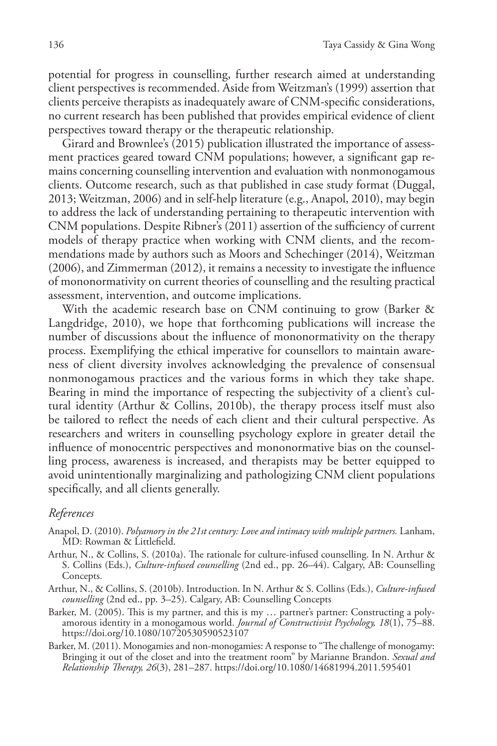potential for progress in counselling, further research aimed at understanding client perspectives is recommended. Aside from Weitzman's (1999) assertion that clients perceive therapists as inadequately aware of CNM-specific considerations, no current research has been published that provides empirical evidence of client perspectives toward therapy or the therapeutic relationship.

Girard and Brownlee's (2015) publication illustrated the importance of assessment practices geared toward CNM populations; however, a significant gap remains concerning counselling intervention and evaluation with nonmonogamous clients. Outcome research, such as that published in case study format (Duggal, 2013; Weitzman, 2006) and in self-help literature (e.g., Anapol, 2010), may begin to address the lack of understanding pertaining to therapeutic intervention with CNM populations. Despite Ribner's (2011) assertion of the sufficiency of current models of therapy practice when working with CNM clients, and the recommendations made by authors such as Moors and Schechinger (2014), Weitzman (2006), and Zimmerman (2012), it remains a necessity to investigate the influence of mononormativity on current theories of counselling and the resulting practical assessment, intervention, and outcome implications.

With the academic research base on CNM continuing to grow (Barker & Langdridge, 2010), we hope that forthcoming publications will increase the number of discussions about the influence of mononormativity on the therapy process. Exemplifying the ethical imperative for counsellors to maintain awareness of client diversity involves acknowledging the prevalence of consensual nonmonogamous practices and the various forms in which they take shape. Bearing in mind the importance of respecting the subjectivity of a client's cultural identity (Arthur & Collins, 2010b), the therapy process itself must also be tailored to reflect the needs of each client and their cultural perspective. As researchers and writers in counselling psychology explore in greater detail the influence of monocentric perspectives and mononormative bias on the counselling process, awareness is increased, and therapists may be better equipped to avoid unintentionally marginalizing and pathologizing CNM client populations specifically, and all clients generally.

#### *References*

- Anapol, D. (2010). *Polyamory in the 21st century: Love and intimacy with multiple partners.* Lanham, MD: Rowman & Littlefield.
- Arthur, N., & Collins, S. (2010a). The rationale for culture-infused counselling. In N. Arthur & S. Collins (Eds.), *Culture-infused counselling* (2nd ed., pp. 26–44). Calgary, AB: Counselling Concepts.
- Arthur, N., & Collins, S. (2010b). Introduction. In N. Arthur & S. Collins (Eds.), *Culture-infused counselling* (2nd ed., pp. 3–25). Calgary, AB: Counselling Concepts
- Barker, M. (2005). This is my partner, and this is my … partner's partner: Constructing a polyamorous identity in a monogamous world. *Journal of Constructivist Psychology, 18*(1), 75–88. https://doi.org/10.1080/10720530590523107
- Barker, M. (2011). Monogamies and non-monogamies: A response to "The challenge of monogamy: Bringing it out of the closet and into the treatment room" by Marianne Brandon. *Sexual and Relationship Therapy, 26*(3), 281–287. https://doi.org/10.1080/14681994.2011.595401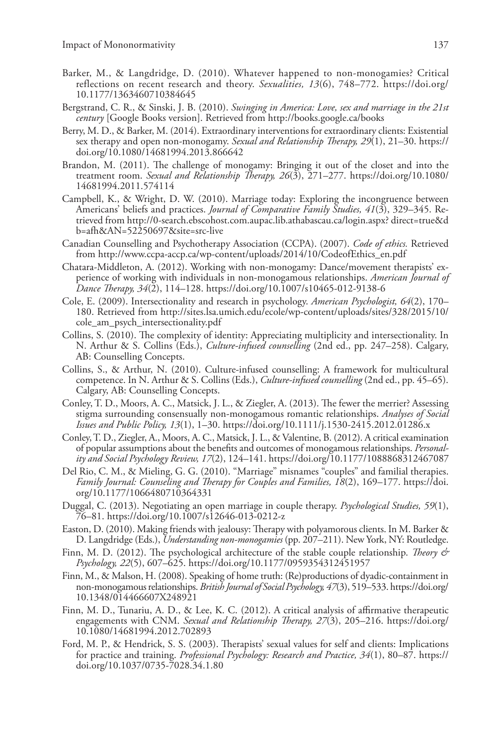- Barker, M., & Langdridge, D. (2010). Whatever happened to non-monogamies? Critical reflections on recent research and theory. *Sexualities, 13*(6), 748–772. https://doi.org/ 10.1177/1363460710384645
- Bergstrand, C. R., & Sinski, J. B. (2010). *Swinging in America: Love, sex and marriage in the 21st century* [Google Books version]. Retrieved from http://books.google.ca/books
- Berry, M. D., & Barker, M. (2014). Extraordinary interventions for extraordinary clients: Existential sex therapy and open non-monogamy. *Sexual and Relationship Therapy, 29*(1), 21–30. https:// doi.org/10.1080/14681994.2013.866642
- Brandon, M. (2011). The challenge of monogamy: Bringing it out of the closet and into the treatment room. *Sexual and Relationship Therapy, 26*(3), 271–277. https://doi.org/10.1080/ 14681994.2011.574114
- Campbell, K., & Wright, D. W. (2010). Marriage today: Exploring the incongruence between Americans' beliefs and practices. *Journal of Comparative Family Studies, 41*(3), 329–345. Retrieved from http://0-search.ebscohost.com.aupac.lib.athabascau.ca/login.aspx? direct=true&d b=afh&AN=52250697&site=src-live
- Canadian Counselling and Psychotherapy Association (CCPA). (2007). *Code of ethics.* Retrieved from http://www.ccpa-accp.ca/wp-content/uploads/2014/10/CodeofEthics\_en.pdf
- Chatara-Middleton, A. (2012). Working with non-monogamy: Dance/movement therapists' experience of working with individuals in non-monogamous relationships. *American Journal of Dance Therapy, 34*(2), 114–128. https://doi.org/10.1007/s10465-012-9138-6
- Cole, E. (2009). Intersectionality and research in psychology. *American Psychologist, 64*(2), 170– 180. Retrieved from http://sites.lsa.umich.edu/ecole/wp-content/uploads/sites/328/2015/10/ cole\_am\_psych\_intersectionality.pdf
- Collins, S. (2010). The complexity of identity: Appreciating multiplicity and intersectionality. In N. Arthur & S. Collins (Eds.), *Culture-infused counselling* (2nd ed., pp. 247–258). Calgary, AB: Counselling Concepts.
- Collins, S., & Arthur, N. (2010). Culture-infused counselling: A framework for multicultural competence. In N. Arthur & S. Collins (Eds.), *Culture-infused counselling* (2nd ed., pp. 45–65). Calgary, AB: Counselling Concepts.
- Conley, T. D., Moors, A. C., Matsick, J. L., & Ziegler, A. (2013). The fewer the merrier? Assessing stigma surrounding consensually non-monogamous romantic relationships. *Analyses of Social Issues and Public Policy, 13*(1), 1–30. https://doi.org/10.1111/j.1530-2415.2012.01286.x
- Conley, T. D., Ziegler, A., Moors, A. C., Matsick, J. L., & Valentine, B. (2012). A critical examination of popular assumptions about the benefits and outcomes of monogamous relationships. *Personality and Social Psychology Review, 17*(2), 124–141. https://doi.org/10.1177/1088868312467087
- Del Rio, C. M., & Mieling, G. G. (2010). "Marriage" misnames "couples" and familial therapies. *Family Journal: Counseling and Therapy for Couples and Families, 18*(2), 169–177. https://doi. org/10.1177/1066480710364331
- Duggal, C. (2013). Negotiating an open marriage in couple therapy. *Psychological Studies, 59*(1), 76–81. https://doi.org/10.1007/s12646-013-0212-z
- Easton, D. (2010). Making friends with jealousy: Therapy with polyamorous clients. In M. Barker & D. Langdridge (Eds.), *Understanding non-monogamies* (pp. 207–211). New York, NY: Routledge.
- Finn, M. D. (2012). The psychological architecture of the stable couple relationship. *Theory & Psychology, 22*(5), 607–625. https://doi.org/10.1177/0959354312451957
- Finn, M., & Malson, H. (2008). Speaking of home truth: (Re)productions of dyadic-containment in non-monogamous relationships. *British Journal of Social Psychology, 47*(3), 519–533. https://doi.org/ 10.1348/014466607X248921
- Finn, M. D., Tunariu, A. D., & Lee, K. C. (2012). A critical analysis of affirmative therapeutic engagements with CNM. *Sexual and Relationship Therapy, 27*(3), 205–216. https://doi.org/ 10.1080/14681994.2012.702893
- Ford, M. P., & Hendrick, S. S. (2003). Therapists' sexual values for self and clients: Implications for practice and training. *Professional Psychology: Research and Practice, 34*(1), 80–87. https:// doi.org/10.1037/0735-7028.34.1.80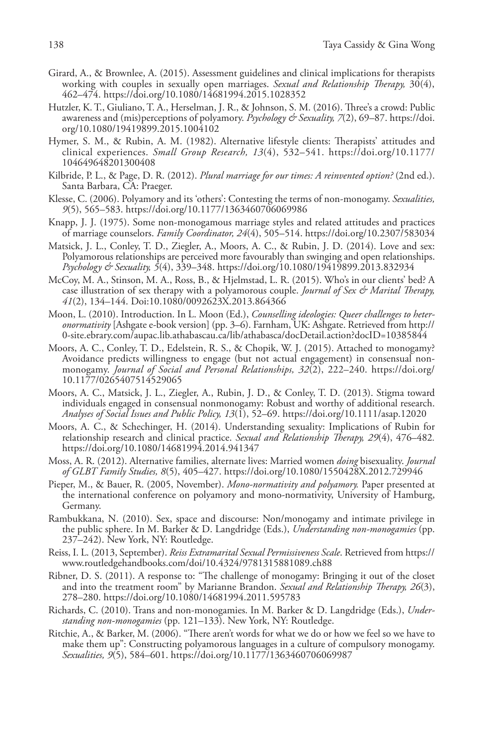- Girard, A., & Brownlee, A. (2015). Assessment guidelines and clinical implications for therapists working with couples in sexually open marriages. *Sexual and Relationship Therapy,* 30(4), 462–474. https://doi.org/10.1080/14681994.2015.1028352
- Hutzler, K. T., Giuliano, T. A., Herselman, J. R., & Johnson, S. M. (2016). Three's a crowd: Public awareness and (mis)perceptions of polyamory. *Psychology & Sexuality, 7*(2), 69–87. https://doi. org/10.1080/19419899.2015.1004102
- Hymer, S. M., & Rubin, A. M. (1982). Alternative lifestyle clients: Therapists' attitudes and clinical experiences. *Small Group Research, 13*(4), 532–541. https://doi.org/10.1177/ 104649648201300408
- Kilbride, P. L., & Page, D. R. (2012). *Plural marriage for our times: A reinvented option?* (2nd ed.). Santa Barbara, CA: Praeger.
- Klesse, C. (2006). Polyamory and its 'others': Contesting the terms of non-monogamy. *Sexualities, 9*(5), 565–583. https://doi.org/10.1177/1363460706069986
- Knapp, J. J. (1975). Some non-monogamous marriage styles and related attitudes and practices of marriage counselors. *Family Coordinator, 24*(4), 505–514. https://doi.org/10.2307/583034
- Matsick, J. L., Conley, T. D., Ziegler, A., Moors, A. C., & Rubin, J. D. (2014). Love and sex: Polyamorous relationships are perceived more favourably than swinging and open relationships. *Psychology & Sexuality, 5*(4), 339–348. https://doi.org/10.1080/19419899.2013.832934
- McCoy, M. A., Stinson, M. A., Ross, B., & Hjelmstad, L. R. (2015). Who's in our clients' bed? A case illustration of sex therapy with a polyamorous couple. *Journal of Sex & Marital Therapy, 41*(2), 134–144. Doi:10.1080/0092623X.2013.864366
- Moon, L. (2010). Introduction. In L. Moon (Ed.), *Counselling ideologies: Queer challenges to heteronormativity* [Ashgate e-book version] (pp. 3–6). Farnham, UK: Ashgate. Retrieved from http:// 0-site.ebrary.com/aupac.lib.athabascau.ca/lib/athabasca/docDetail.action?docID=10385844
- Moors, A. C., Conley, T. D., Edelstein, R. S., & Chopik, W. J. (2015). Attached to monogamy? Avoidance predicts willingness to engage (but not actual engagement) in consensual nonmonogamy. *Journal of Social and Personal Relationships, 32*(2), 222–240. https://doi.org/ 10.1177/0265407514529065
- Moors, A. C., Matsick, J. L., Ziegler, A., Rubin, J. D., & Conley, T. D. (2013). Stigma toward individuals engaged in consensual nonmonogamy: Robust and worthy of additional research. *Analyses of Social Issues and Public Policy, 13*(1), 52–69. https://doi.org/10.1111/asap.12020
- Moors, A. C., & Schechinger, H. (2014). Understanding sexuality: Implications of Rubin for relationship research and clinical practice. *Sexual and Relationship Therapy, 29*(4), 476–482*.*  https://doi.org/10.1080/14681994.2014.941347
- Moss, A. R. (2012). Alternative families, alternate lives: Married women *doing* bisexuality. *Journal of GLBT Family Studies, 8*(5), 405–427. https://doi.org/10.1080/1550428X.2012.729946
- Pieper, M., & Bauer, R. (2005, November). *Mono-normativity and polyamory.* Paper presented at the international conference on polyamory and mono-normativity, University of Hamburg, Germany.
- Rambukkana, N. (2010). Sex, space and discourse: Non/monogamy and intimate privilege in the public sphere. In M. Barker & D. Langdridge (Eds.), *Understanding non-monogamies* (pp. 237–242). New York, NY: Routledge.
- Reiss, I. L. (2013, September). *Reiss Extramarital Sexual Permissiveness Scale*. Retrieved from https:// www.routledgehandbooks.com/doi/10.4324/9781315881089.ch88
- Ribner, D. S. (2011). A response to: "The challenge of monogamy: Bringing it out of the closet and into the treatment room" by Marianne Brandon. *Sexual and Relationship Therapy, 26*(3), 278–280. https://doi.org/10.1080/14681994.2011.595783
- Richards, C. (2010). Trans and non-monogamies. In M. Barker & D. Langdridge (Eds.), *Understanding non-monogamies* (pp. 121–133). New York, NY: Routledge.
- Ritchie, A., & Barker, M. (2006). "There aren't words for what we do or how we feel so we have to make them up": Constructing polyamorous languages in a culture of compulsory monogamy. *Sexualities, 9*(5), 584–601. https://doi.org/10.1177/1363460706069987